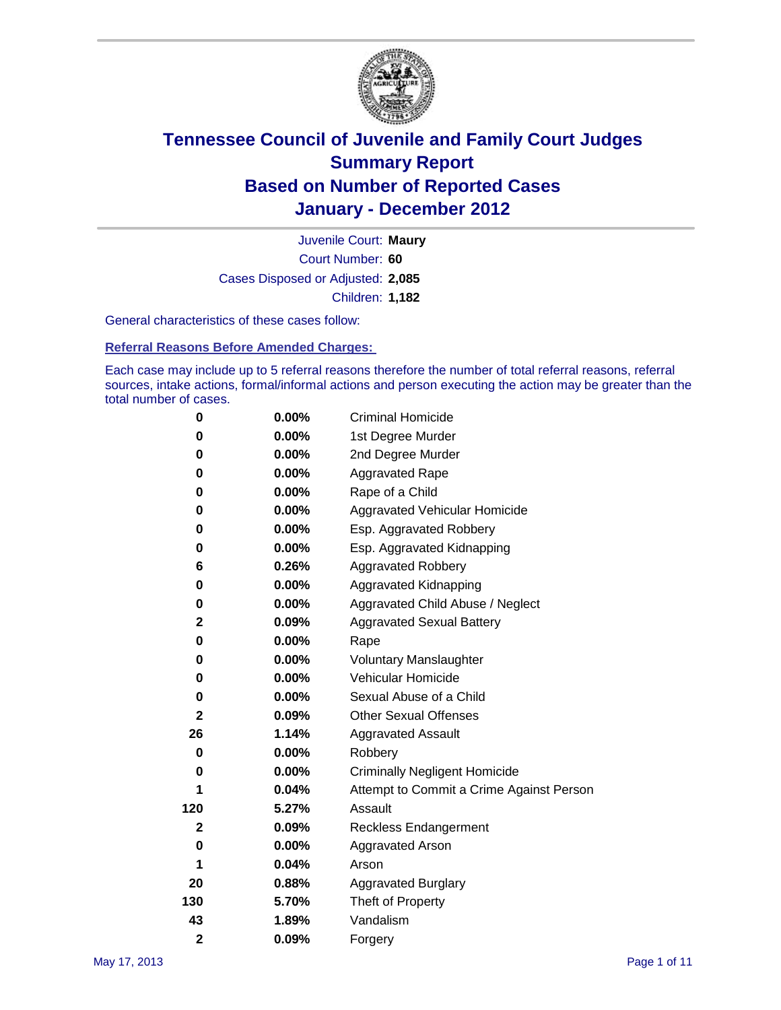

Court Number: **60** Juvenile Court: **Maury** Cases Disposed or Adjusted: **2,085** Children: **1,182**

General characteristics of these cases follow:

**Referral Reasons Before Amended Charges:** 

Each case may include up to 5 referral reasons therefore the number of total referral reasons, referral sources, intake actions, formal/informal actions and person executing the action may be greater than the total number of cases.

| 0              | $0.00\%$ | <b>Criminal Homicide</b>                 |
|----------------|----------|------------------------------------------|
| 0              | 0.00%    | 1st Degree Murder                        |
| 0              | 0.00%    | 2nd Degree Murder                        |
| 0              | $0.00\%$ | <b>Aggravated Rape</b>                   |
| 0              | 0.00%    | Rape of a Child                          |
| 0              | $0.00\%$ | Aggravated Vehicular Homicide            |
| 0              | 0.00%    | Esp. Aggravated Robbery                  |
| 0              | $0.00\%$ | Esp. Aggravated Kidnapping               |
| 6              | 0.26%    | <b>Aggravated Robbery</b>                |
| 0              | 0.00%    | Aggravated Kidnapping                    |
| 0              | 0.00%    | Aggravated Child Abuse / Neglect         |
| $\overline{2}$ | 0.09%    | <b>Aggravated Sexual Battery</b>         |
| 0              | $0.00\%$ | Rape                                     |
| 0              | 0.00%    | <b>Voluntary Manslaughter</b>            |
| 0              | 0.00%    | Vehicular Homicide                       |
| 0              | 0.00%    | Sexual Abuse of a Child                  |
| $\overline{2}$ | 0.09%    | <b>Other Sexual Offenses</b>             |
| 26             | 1.14%    | <b>Aggravated Assault</b>                |
| $\bf{0}$       | 0.00%    | Robbery                                  |
| 0              | $0.00\%$ | <b>Criminally Negligent Homicide</b>     |
| 1              | 0.04%    | Attempt to Commit a Crime Against Person |
| 120            | 5.27%    | Assault                                  |
| $\mathbf{2}$   | 0.09%    | <b>Reckless Endangerment</b>             |
| 0              | 0.00%    | <b>Aggravated Arson</b>                  |
| 1              | 0.04%    | Arson                                    |
| 20             | 0.88%    | <b>Aggravated Burglary</b>               |
| 130            | 5.70%    | Theft of Property                        |
| 43             | 1.89%    | Vandalism                                |
| $\overline{2}$ | 0.09%    | Forgery                                  |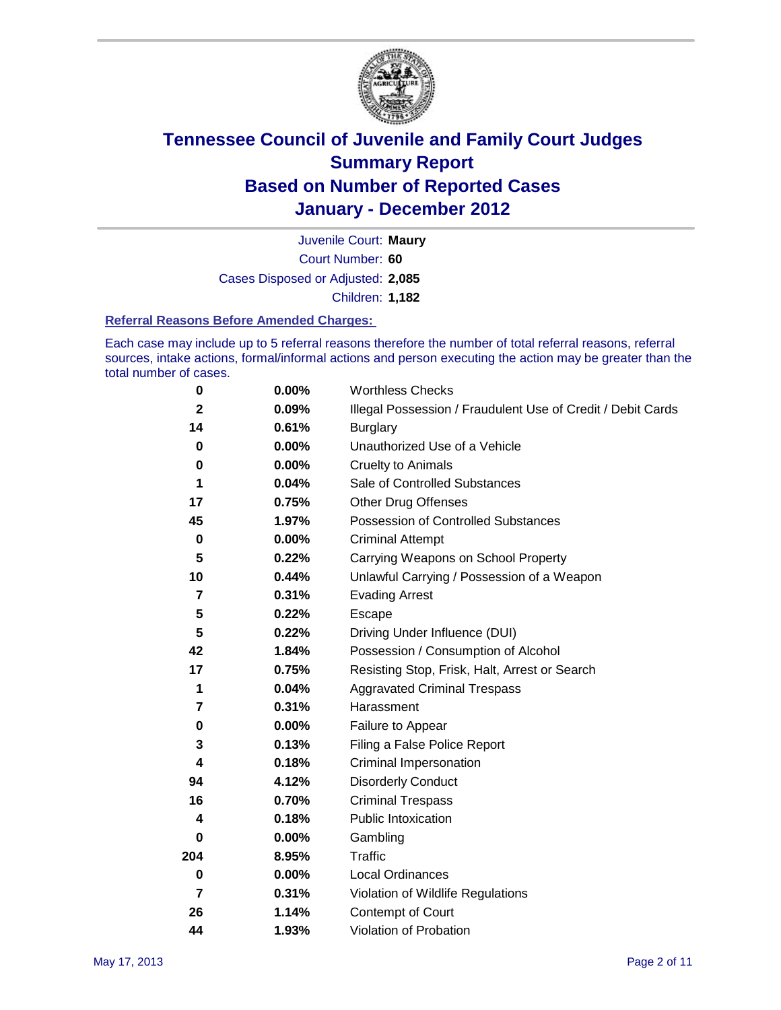

Court Number: **60** Juvenile Court: **Maury** Cases Disposed or Adjusted: **2,085** Children: **1,182**

#### **Referral Reasons Before Amended Charges:**

Each case may include up to 5 referral reasons therefore the number of total referral reasons, referral sources, intake actions, formal/informal actions and person executing the action may be greater than the total number of cases.

| $\pmb{0}$      | 0.00%    | <b>Worthless Checks</b>                                     |
|----------------|----------|-------------------------------------------------------------|
| $\mathbf{2}$   | 0.09%    | Illegal Possession / Fraudulent Use of Credit / Debit Cards |
| 14             | 0.61%    | <b>Burglary</b>                                             |
| $\bf{0}$       | $0.00\%$ | Unauthorized Use of a Vehicle                               |
| 0              | $0.00\%$ | <b>Cruelty to Animals</b>                                   |
| 1              | 0.04%    | Sale of Controlled Substances                               |
| 17             | 0.75%    | <b>Other Drug Offenses</b>                                  |
| 45             | 1.97%    | Possession of Controlled Substances                         |
| $\mathbf 0$    | $0.00\%$ | <b>Criminal Attempt</b>                                     |
| 5              | 0.22%    | Carrying Weapons on School Property                         |
| 10             | 0.44%    | Unlawful Carrying / Possession of a Weapon                  |
| 7              | 0.31%    | <b>Evading Arrest</b>                                       |
| 5              | 0.22%    | Escape                                                      |
| 5              | 0.22%    | Driving Under Influence (DUI)                               |
| 42             | 1.84%    | Possession / Consumption of Alcohol                         |
| 17             | 0.75%    | Resisting Stop, Frisk, Halt, Arrest or Search               |
| 1              | 0.04%    | <b>Aggravated Criminal Trespass</b>                         |
| 7              | 0.31%    | Harassment                                                  |
| $\pmb{0}$      | 0.00%    | Failure to Appear                                           |
| 3              | 0.13%    | Filing a False Police Report                                |
| 4              | 0.18%    | Criminal Impersonation                                      |
| 94             | 4.12%    | <b>Disorderly Conduct</b>                                   |
| 16             | 0.70%    | <b>Criminal Trespass</b>                                    |
| 4              | 0.18%    | Public Intoxication                                         |
| 0              | $0.00\%$ | Gambling                                                    |
| 204            | 8.95%    | <b>Traffic</b>                                              |
| 0              | $0.00\%$ | Local Ordinances                                            |
| $\overline{7}$ | 0.31%    | Violation of Wildlife Regulations                           |
| 26             | 1.14%    | Contempt of Court                                           |
| 44             | 1.93%    | Violation of Probation                                      |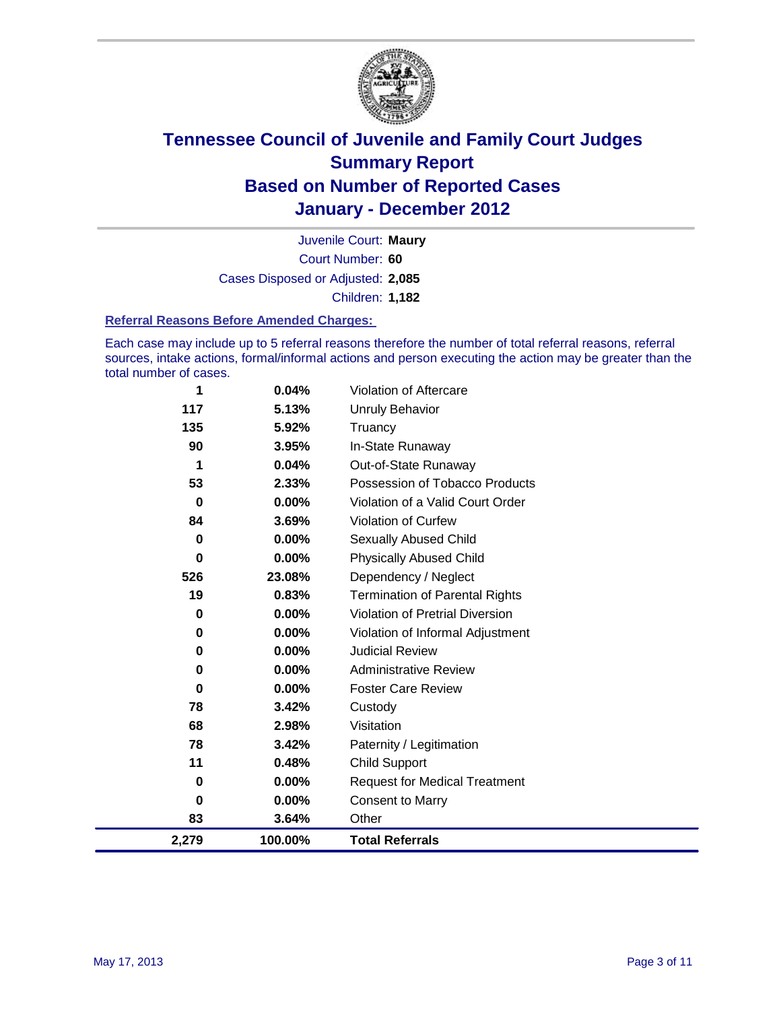

Court Number: **60** Juvenile Court: **Maury** Cases Disposed or Adjusted: **2,085** Children: **1,182**

#### **Referral Reasons Before Amended Charges:**

Each case may include up to 5 referral reasons therefore the number of total referral reasons, referral sources, intake actions, formal/informal actions and person executing the action may be greater than the total number of cases.

| 1        | 0.04%    | Violation of Aftercare                 |
|----------|----------|----------------------------------------|
| 117      | 5.13%    | <b>Unruly Behavior</b>                 |
| 135      | 5.92%    | Truancy                                |
| 90       | 3.95%    | In-State Runaway                       |
| 1        | 0.04%    | Out-of-State Runaway                   |
| 53       | 2.33%    | Possession of Tobacco Products         |
| $\bf{0}$ | $0.00\%$ | Violation of a Valid Court Order       |
| 84       | 3.69%    | <b>Violation of Curfew</b>             |
| $\bf{0}$ | $0.00\%$ | Sexually Abused Child                  |
| $\bf{0}$ | 0.00%    | <b>Physically Abused Child</b>         |
| 526      | 23.08%   | Dependency / Neglect                   |
| 19       | 0.83%    | <b>Termination of Parental Rights</b>  |
| 0        | 0.00%    | <b>Violation of Pretrial Diversion</b> |
| 0        | 0.00%    | Violation of Informal Adjustment       |
| 0        | $0.00\%$ | <b>Judicial Review</b>                 |
| 0        | $0.00\%$ | <b>Administrative Review</b>           |
| 0        | 0.00%    | <b>Foster Care Review</b>              |
| 78       | 3.42%    | Custody                                |
| 68       | 2.98%    | Visitation                             |
| 78       | 3.42%    | Paternity / Legitimation               |
| 11       | 0.48%    | <b>Child Support</b>                   |
| 0        | 0.00%    | <b>Request for Medical Treatment</b>   |
| 0        | 0.00%    | <b>Consent to Marry</b>                |
| 83       | 3.64%    | Other                                  |
| 2,279    | 100.00%  | <b>Total Referrals</b>                 |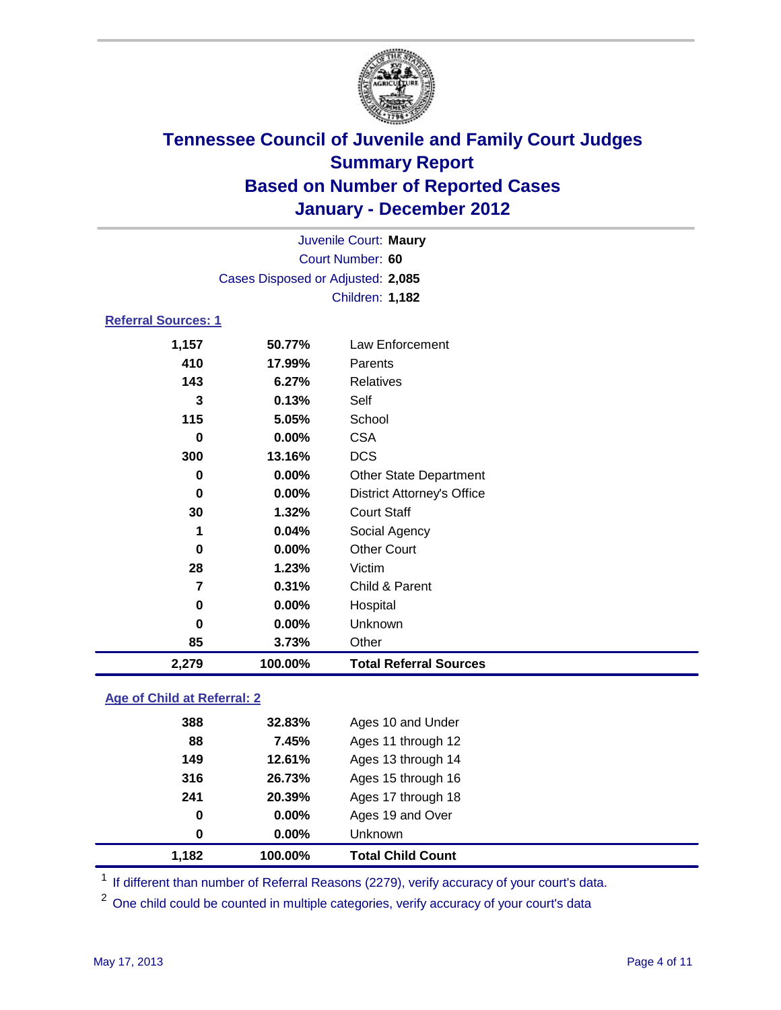

| Juvenile Court: Maury       |                                   |                                   |  |  |  |
|-----------------------------|-----------------------------------|-----------------------------------|--|--|--|
|                             | Court Number: 60                  |                                   |  |  |  |
|                             | Cases Disposed or Adjusted: 2,085 |                                   |  |  |  |
|                             |                                   | Children: 1,182                   |  |  |  |
| <b>Referral Sources: 1</b>  |                                   |                                   |  |  |  |
| 1,157                       | 50.77%                            | <b>Law Enforcement</b>            |  |  |  |
| 410                         | 17.99%                            | Parents                           |  |  |  |
| 143                         | 6.27%                             | <b>Relatives</b>                  |  |  |  |
| 3                           | 0.13%                             | Self                              |  |  |  |
| 115                         | 5.05%                             | School                            |  |  |  |
| $\bf{0}$                    | 0.00%                             | <b>CSA</b>                        |  |  |  |
| 300                         | 13.16%                            | <b>DCS</b>                        |  |  |  |
| 0                           | 0.00%                             | <b>Other State Department</b>     |  |  |  |
| 0                           | 0.00%                             | <b>District Attorney's Office</b> |  |  |  |
| 30                          | 1.32%                             | <b>Court Staff</b>                |  |  |  |
| 1                           | 0.04%                             | Social Agency                     |  |  |  |
| $\bf{0}$                    | 0.00%                             | <b>Other Court</b>                |  |  |  |
| 28                          | 1.23%                             | Victim                            |  |  |  |
| $\overline{7}$              | 0.31%                             | Child & Parent                    |  |  |  |
| $\bf{0}$                    | 0.00%                             | Hospital                          |  |  |  |
| 0                           | 0.00%                             | Unknown                           |  |  |  |
| 85                          | 3.73%                             | Other                             |  |  |  |
| 2,279                       | 100.00%                           | <b>Total Referral Sources</b>     |  |  |  |
| Ago of Child at Deferral: 2 |                                   |                                   |  |  |  |

### **Age of Child at Referral: 2**

| 241<br>0<br>0 | 20.39%<br>0.00%<br>$0.00\%$ | Ages 17 through 18<br>Ages 19 and Over<br><b>Unknown</b> |  |
|---------------|-----------------------------|----------------------------------------------------------|--|
|               |                             |                                                          |  |
|               |                             |                                                          |  |
|               |                             |                                                          |  |
| 316           | 26.73%                      | Ages 15 through 16                                       |  |
| 149           | 12.61%                      | Ages 13 through 14                                       |  |
| 88            | 7.45%                       | Ages 11 through 12                                       |  |
| 388           | 32.83%                      | Ages 10 and Under                                        |  |
|               |                             |                                                          |  |

<sup>1</sup> If different than number of Referral Reasons (2279), verify accuracy of your court's data.

<sup>2</sup> One child could be counted in multiple categories, verify accuracy of your court's data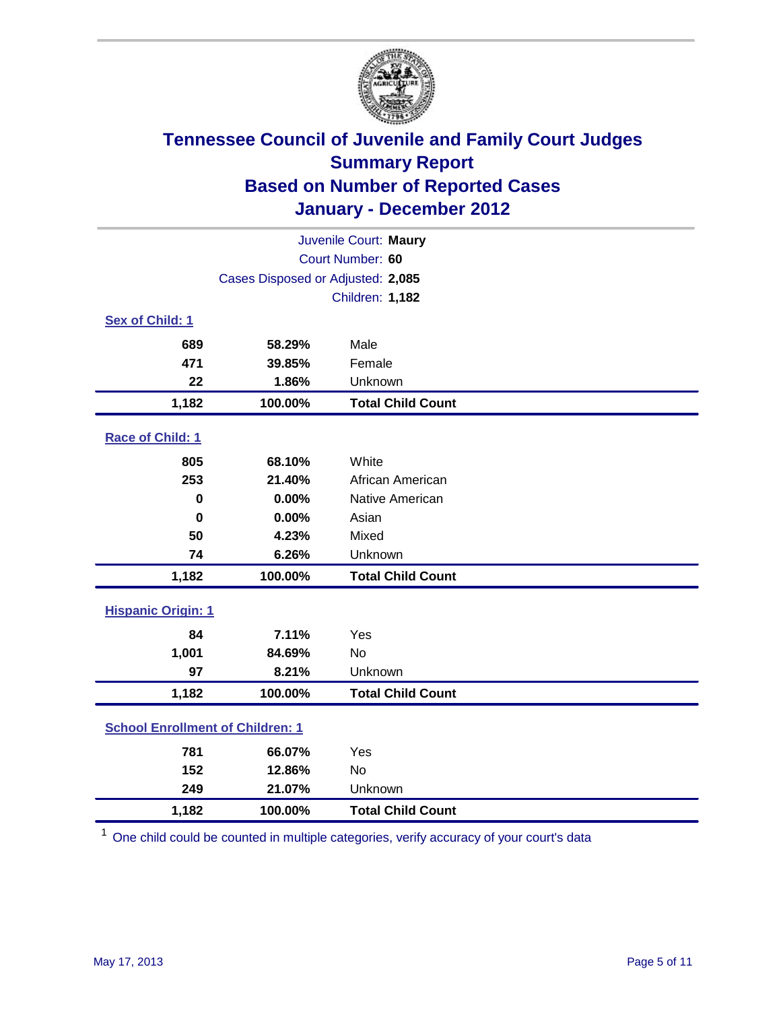

| Juvenile Court: Maury                   |                                   |                          |  |  |  |
|-----------------------------------------|-----------------------------------|--------------------------|--|--|--|
|                                         | Court Number: 60                  |                          |  |  |  |
|                                         | Cases Disposed or Adjusted: 2,085 |                          |  |  |  |
|                                         |                                   | <b>Children: 1,182</b>   |  |  |  |
| Sex of Child: 1                         |                                   |                          |  |  |  |
| 689                                     | 58.29%                            | Male                     |  |  |  |
| 471                                     | 39.85%                            | Female                   |  |  |  |
| 22                                      | 1.86%                             | Unknown                  |  |  |  |
| 1,182                                   | 100.00%                           | <b>Total Child Count</b> |  |  |  |
| Race of Child: 1                        |                                   |                          |  |  |  |
| 805                                     | 68.10%                            | White                    |  |  |  |
| 253                                     | 21.40%                            | African American         |  |  |  |
| $\mathbf 0$                             | 0.00%                             | Native American          |  |  |  |
| $\bf{0}$                                | 0.00%                             | Asian                    |  |  |  |
| 50                                      | 4.23%                             | Mixed                    |  |  |  |
| 74                                      | 6.26%                             | Unknown                  |  |  |  |
| 1,182                                   | 100.00%                           | <b>Total Child Count</b> |  |  |  |
|                                         | <b>Hispanic Origin: 1</b>         |                          |  |  |  |
| 84                                      | 7.11%                             | Yes                      |  |  |  |
| 1,001                                   | 84.69%                            | <b>No</b>                |  |  |  |
| 97                                      | 8.21%                             | Unknown                  |  |  |  |
| 1,182                                   | 100.00%                           | <b>Total Child Count</b> |  |  |  |
| <b>School Enrollment of Children: 1</b> |                                   |                          |  |  |  |
| 781                                     | 66.07%                            | Yes                      |  |  |  |
| 152                                     | 12.86%                            | <b>No</b>                |  |  |  |
| 249                                     | 21.07%                            | Unknown                  |  |  |  |
| 1,182                                   | 100.00%                           | <b>Total Child Count</b> |  |  |  |

<sup>1</sup> One child could be counted in multiple categories, verify accuracy of your court's data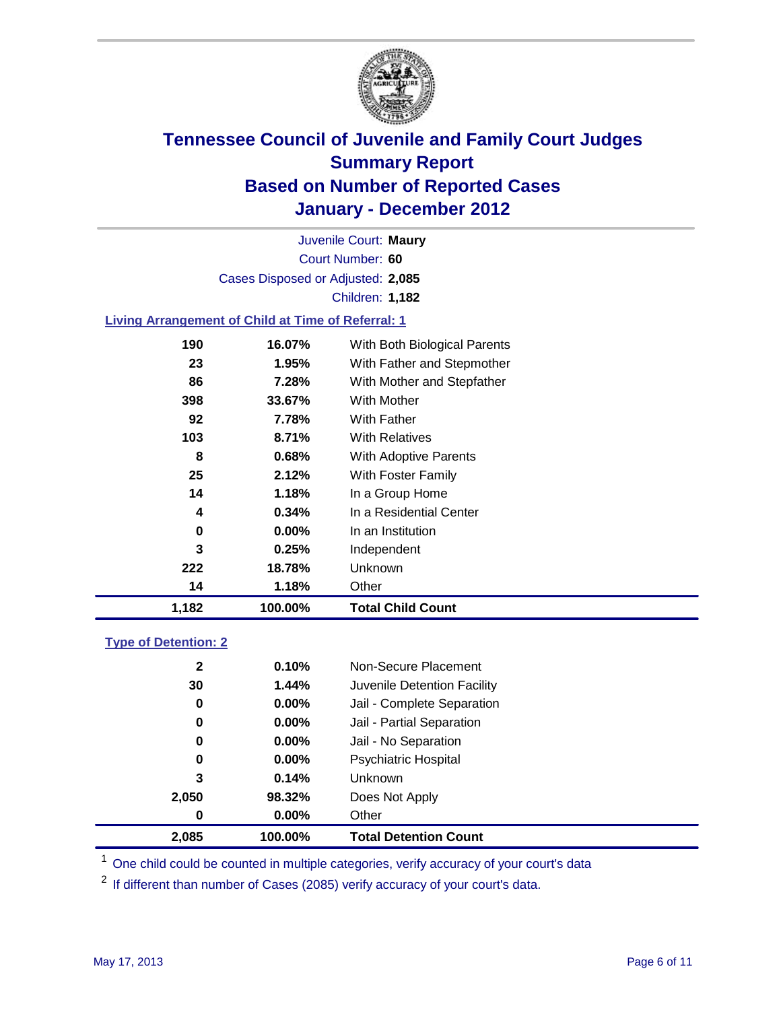

Court Number: **60** Juvenile Court: **Maury** Cases Disposed or Adjusted: **2,085** Children: **1,182**

### **Living Arrangement of Child at Time of Referral: 1**

|     |          | <b>Total Child Count</b>     |
|-----|----------|------------------------------|
| 14  | 1.18%    | Other                        |
| 222 | 18.78%   | Unknown                      |
| 3   | 0.25%    | Independent                  |
| 0   | $0.00\%$ | In an Institution            |
| 4   | 0.34%    | In a Residential Center      |
| 14  | 1.18%    | In a Group Home              |
| 25  | 2.12%    | With Foster Family           |
| 8   | 0.68%    | <b>With Adoptive Parents</b> |
| 103 | 8.71%    | <b>With Relatives</b>        |
| 92  | 7.78%    | With Father                  |
| 398 | 33.67%   | With Mother                  |
| 86  | 7.28%    | With Mother and Stepfather   |
| 23  | 1.95%    | With Father and Stepmother   |
| 190 | 16.07%   | With Both Biological Parents |
|     |          | 1,182<br>100.00%             |

#### **Type of Detention: 2**

| 2,085        | 100.00%  | <b>Total Detention Count</b> |  |
|--------------|----------|------------------------------|--|
| 0            | 0.00%    | Other                        |  |
| 2,050        | 98.32%   | Does Not Apply               |  |
| 3            | 0.14%    | <b>Unknown</b>               |  |
| 0            | $0.00\%$ | Psychiatric Hospital         |  |
| 0            | 0.00%    | Jail - No Separation         |  |
| 0            | $0.00\%$ | Jail - Partial Separation    |  |
| 0            | $0.00\%$ | Jail - Complete Separation   |  |
| 30           | 1.44%    | Juvenile Detention Facility  |  |
| $\mathbf{2}$ | 0.10%    | Non-Secure Placement         |  |
|              |          |                              |  |

<sup>1</sup> One child could be counted in multiple categories, verify accuracy of your court's data

<sup>2</sup> If different than number of Cases (2085) verify accuracy of your court's data.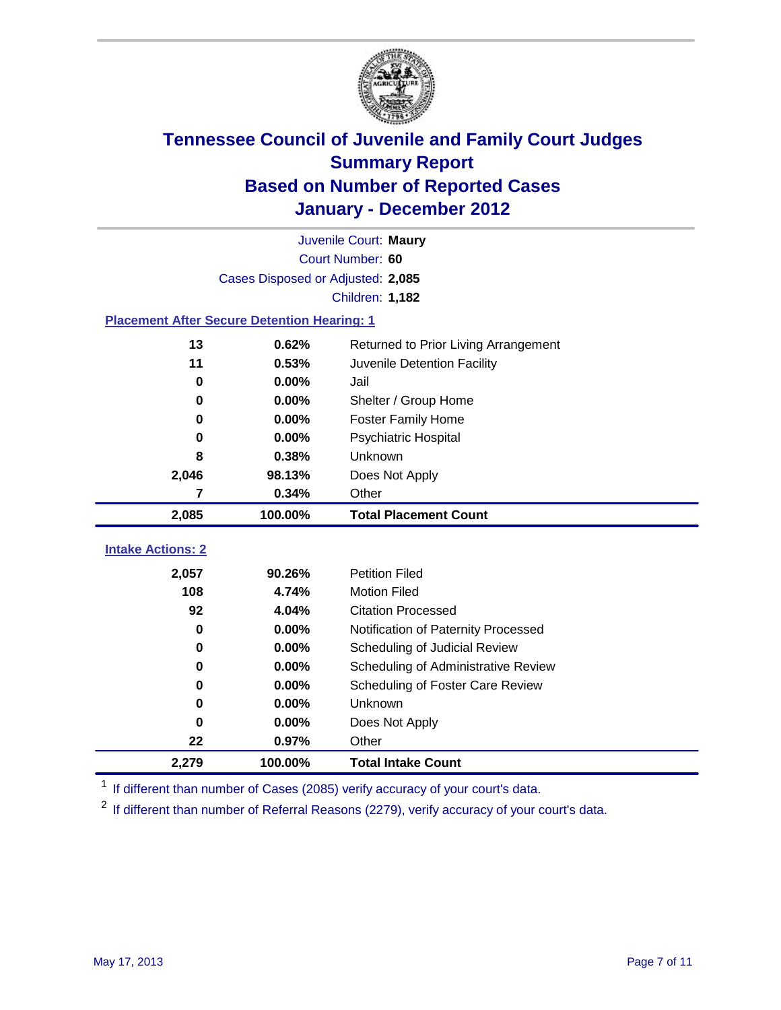

|                                                    | Juvenile Court: Maury             |                                      |  |  |  |
|----------------------------------------------------|-----------------------------------|--------------------------------------|--|--|--|
|                                                    | Court Number: 60                  |                                      |  |  |  |
|                                                    | Cases Disposed or Adjusted: 2,085 |                                      |  |  |  |
|                                                    |                                   | <b>Children: 1,182</b>               |  |  |  |
| <b>Placement After Secure Detention Hearing: 1</b> |                                   |                                      |  |  |  |
| 13                                                 | 0.62%                             | Returned to Prior Living Arrangement |  |  |  |
| 11                                                 | 0.53%                             | Juvenile Detention Facility          |  |  |  |
| $\bf{0}$                                           | 0.00%                             | Jail                                 |  |  |  |
| 0                                                  | 0.00%                             | Shelter / Group Home                 |  |  |  |
| 0                                                  | 0.00%                             | Foster Family Home                   |  |  |  |
| 0                                                  | 0.00%                             | Psychiatric Hospital                 |  |  |  |
| 8                                                  | 0.38%                             | Unknown                              |  |  |  |
| 2,046                                              | 98.13%                            | Does Not Apply                       |  |  |  |
| 7                                                  | 0.34%                             | Other                                |  |  |  |
| 2,085                                              | 100.00%                           | <b>Total Placement Count</b>         |  |  |  |
| <b>Intake Actions: 2</b>                           |                                   |                                      |  |  |  |
| 2,057                                              | 90.26%                            | <b>Petition Filed</b>                |  |  |  |
| 108                                                | 4.74%                             | <b>Motion Filed</b>                  |  |  |  |
| 92                                                 | 4.04%                             | <b>Citation Processed</b>            |  |  |  |
| 0                                                  | 0.00%                             | Notification of Paternity Processed  |  |  |  |
| $\bf{0}$                                           | 0.00%                             | Scheduling of Judicial Review        |  |  |  |
| 0                                                  | 0.00%                             | Scheduling of Administrative Review  |  |  |  |
| 0                                                  | 0.00%                             | Scheduling of Foster Care Review     |  |  |  |
| 0                                                  | 0.00%                             | Unknown                              |  |  |  |
| 0                                                  | 0.00%                             | Does Not Apply                       |  |  |  |
| 22                                                 | 0.97%                             | Other                                |  |  |  |
| 2,279                                              | 100.00%                           | <b>Total Intake Count</b>            |  |  |  |

<sup>1</sup> If different than number of Cases (2085) verify accuracy of your court's data.

<sup>2</sup> If different than number of Referral Reasons (2279), verify accuracy of your court's data.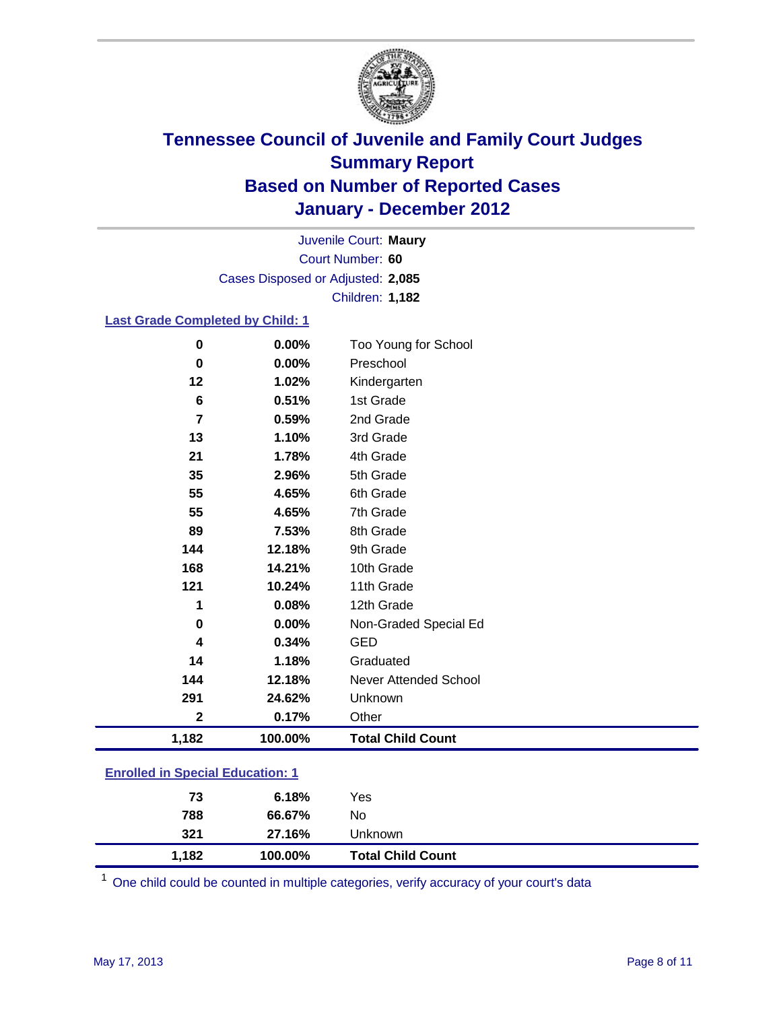

Court Number: **60** Juvenile Court: **Maury** Cases Disposed or Adjusted: **2,085** Children: **1,182**

### **Last Grade Completed by Child: 1**

| $\bf{0}$                                | 0.00%   | Too Young for School         |  |
|-----------------------------------------|---------|------------------------------|--|
| $\mathbf 0$                             | 0.00%   | Preschool                    |  |
| 12                                      | 1.02%   | Kindergarten                 |  |
| 6                                       | 0.51%   | 1st Grade                    |  |
| $\overline{7}$                          | 0.59%   | 2nd Grade                    |  |
| 13                                      | 1.10%   | 3rd Grade                    |  |
| 21                                      | 1.78%   | 4th Grade                    |  |
| 35                                      | 2.96%   | 5th Grade                    |  |
| 55                                      | 4.65%   | 6th Grade                    |  |
| 55                                      | 4.65%   | 7th Grade                    |  |
| 89                                      | 7.53%   | 8th Grade                    |  |
| 144                                     | 12.18%  | 9th Grade                    |  |
| 168                                     | 14.21%  | 10th Grade                   |  |
| 121                                     | 10.24%  | 11th Grade                   |  |
| 1                                       | 0.08%   | 12th Grade                   |  |
| 0                                       | 0.00%   | Non-Graded Special Ed        |  |
| 4                                       | 0.34%   | <b>GED</b>                   |  |
| 14                                      | 1.18%   | Graduated                    |  |
| 144                                     | 12.18%  | <b>Never Attended School</b> |  |
| 291                                     | 24.62%  | Unknown                      |  |
| $\mathbf{2}$                            | 0.17%   | Other                        |  |
| 1,182                                   | 100.00% | <b>Total Child Count</b>     |  |
| <b>Enrolled in Special Education: 1</b> |         |                              |  |

| 1,182                                     | 100.00% | <b>Total Child Count</b> |  |  |
|-------------------------------------------|---------|--------------------------|--|--|
| 321                                       | 27.16%  | <b>Unknown</b>           |  |  |
| 788                                       | 66.67%  | No                       |  |  |
| 73                                        | 6.18%   | Yes                      |  |  |
| <u>Einvilled in Opcolar Eugeneinen. I</u> |         |                          |  |  |

One child could be counted in multiple categories, verify accuracy of your court's data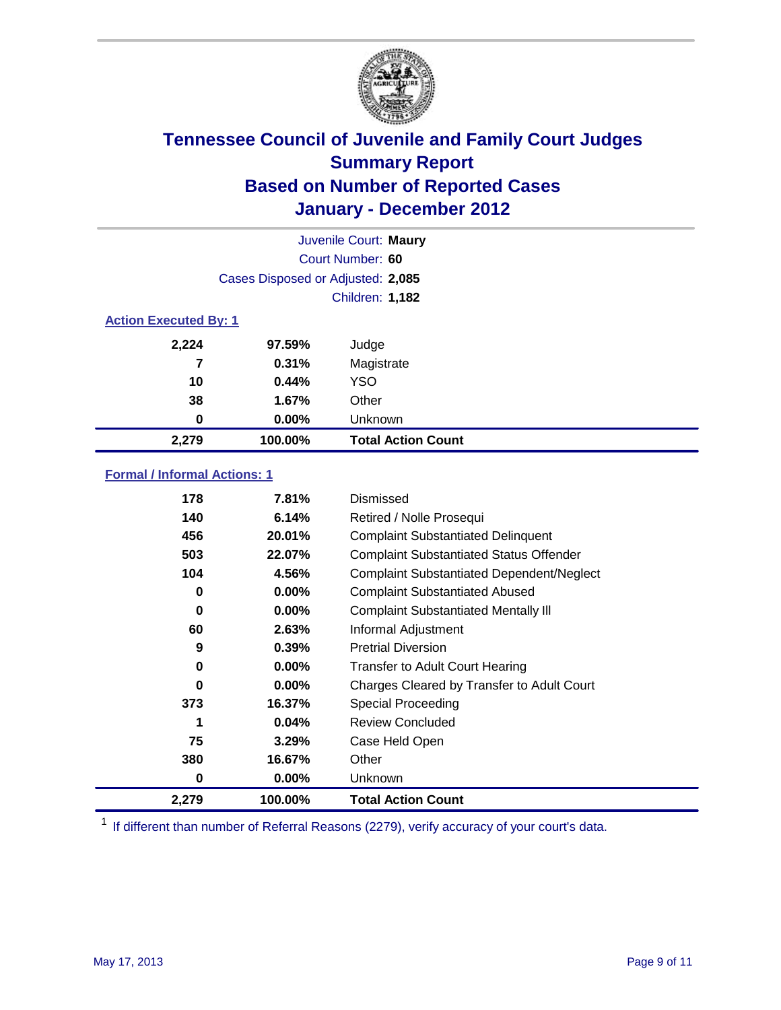

|                              | Juvenile Court: Maury             |                           |  |  |  |
|------------------------------|-----------------------------------|---------------------------|--|--|--|
|                              | Court Number: 60                  |                           |  |  |  |
|                              | Cases Disposed or Adjusted: 2,085 |                           |  |  |  |
|                              | <b>Children: 1,182</b>            |                           |  |  |  |
| <b>Action Executed By: 1</b> |                                   |                           |  |  |  |
| 2,224                        | 97.59%                            | Judge                     |  |  |  |
| 7                            | 0.31%                             | Magistrate                |  |  |  |
| 10                           | 0.44%                             | <b>YSO</b>                |  |  |  |
| 38                           | 1.67%                             | Other                     |  |  |  |
| 0                            | 0.00%                             | Unknown                   |  |  |  |
| 2,279                        | 100.00%                           | <b>Total Action Count</b> |  |  |  |

### **Formal / Informal Actions: 1**

| 178   | 7.81%    | Dismissed                                        |
|-------|----------|--------------------------------------------------|
| 140   | 6.14%    | Retired / Nolle Prosequi                         |
| 456   | 20.01%   | <b>Complaint Substantiated Delinquent</b>        |
| 503   | 22.07%   | <b>Complaint Substantiated Status Offender</b>   |
| 104   | 4.56%    | <b>Complaint Substantiated Dependent/Neglect</b> |
| 0     | $0.00\%$ | <b>Complaint Substantiated Abused</b>            |
| 0     | $0.00\%$ | <b>Complaint Substantiated Mentally III</b>      |
| 60    | 2.63%    | Informal Adjustment                              |
| 9     | 0.39%    | <b>Pretrial Diversion</b>                        |
| 0     | $0.00\%$ | <b>Transfer to Adult Court Hearing</b>           |
| 0     | $0.00\%$ | Charges Cleared by Transfer to Adult Court       |
| 373   | 16.37%   | <b>Special Proceeding</b>                        |
| 1     | 0.04%    | <b>Review Concluded</b>                          |
| 75    | 3.29%    | Case Held Open                                   |
| 380   | 16.67%   | Other                                            |
| 0     | $0.00\%$ | Unknown                                          |
| 2,279 | 100.00%  | <b>Total Action Count</b>                        |

<sup>1</sup> If different than number of Referral Reasons (2279), verify accuracy of your court's data.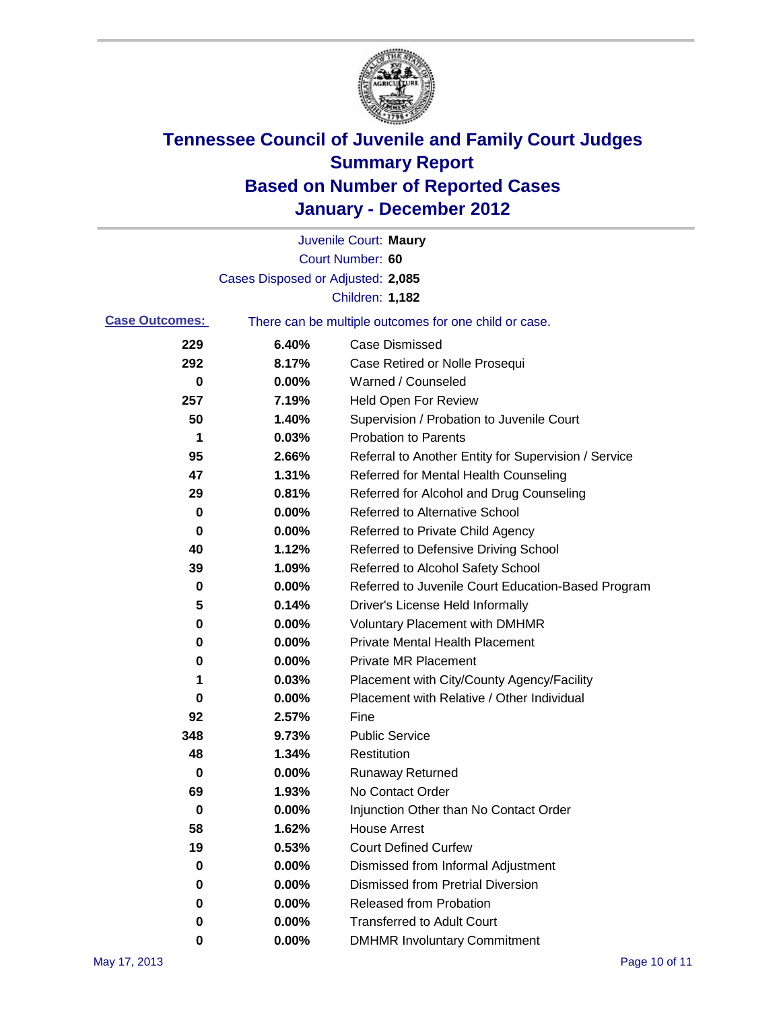

|                       |                                   | Juvenile Court: Maury                                 |
|-----------------------|-----------------------------------|-------------------------------------------------------|
|                       |                                   | Court Number: 60                                      |
|                       | Cases Disposed or Adjusted: 2,085 |                                                       |
|                       |                                   | <b>Children: 1,182</b>                                |
| <b>Case Outcomes:</b> |                                   | There can be multiple outcomes for one child or case. |
| 229                   | 6.40%                             | <b>Case Dismissed</b>                                 |
| 292                   | 8.17%                             | Case Retired or Nolle Prosequi                        |
| 0                     | 0.00%                             | Warned / Counseled                                    |
| 257                   | 7.19%                             | <b>Held Open For Review</b>                           |
| 50                    | 1.40%                             | Supervision / Probation to Juvenile Court             |
| 1                     | 0.03%                             | <b>Probation to Parents</b>                           |
| 95                    | 2.66%                             | Referral to Another Entity for Supervision / Service  |
| 47                    | 1.31%                             | Referred for Mental Health Counseling                 |
| 29                    | 0.81%                             | Referred for Alcohol and Drug Counseling              |
| 0                     | 0.00%                             | Referred to Alternative School                        |
| 0                     | 0.00%                             | Referred to Private Child Agency                      |
| 40                    | 1.12%                             | Referred to Defensive Driving School                  |
| 39                    | 1.09%                             | Referred to Alcohol Safety School                     |
| 0                     | 0.00%                             | Referred to Juvenile Court Education-Based Program    |
| 5                     | 0.14%                             | Driver's License Held Informally                      |
| 0                     | 0.00%                             | <b>Voluntary Placement with DMHMR</b>                 |
| 0                     | 0.00%                             | <b>Private Mental Health Placement</b>                |
| 0                     | 0.00%                             | <b>Private MR Placement</b>                           |
| 1                     | 0.03%                             | Placement with City/County Agency/Facility            |
| 0                     | 0.00%                             | Placement with Relative / Other Individual            |
| 92                    | 2.57%                             | Fine                                                  |
| 348                   | 9.73%                             | <b>Public Service</b>                                 |
| 48                    | 1.34%                             | Restitution                                           |
| 0                     | 0.00%                             | <b>Runaway Returned</b>                               |
| 69                    | 1.93%                             | No Contact Order                                      |
| 0                     | 0.00%                             | Injunction Other than No Contact Order                |
| 58                    | 1.62%                             | <b>House Arrest</b>                                   |
| 19                    | 0.53%                             | <b>Court Defined Curfew</b>                           |
| 0                     | 0.00%                             | Dismissed from Informal Adjustment                    |
| 0                     | 0.00%                             | <b>Dismissed from Pretrial Diversion</b>              |
| 0                     | 0.00%                             | Released from Probation                               |
| 0                     | 0.00%                             | <b>Transferred to Adult Court</b>                     |
| 0                     | 0.00%                             | <b>DMHMR Involuntary Commitment</b>                   |